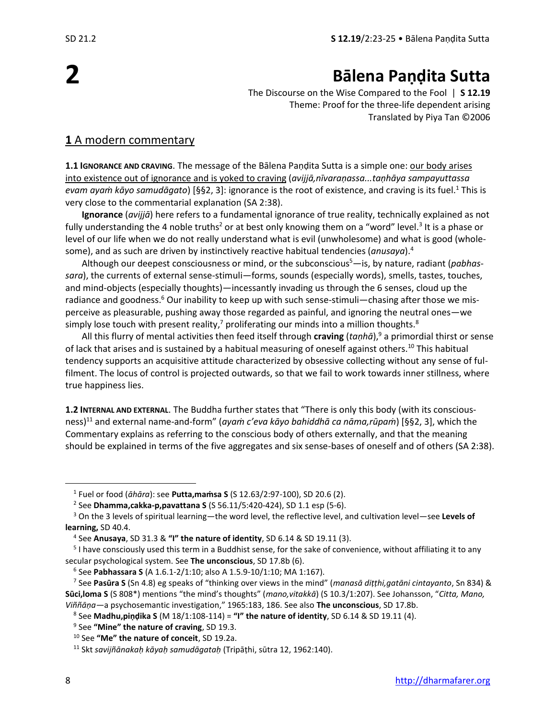# **2**

# **Bālena Paṇḍita Sutta**

The Discourse on the Wise Compared to the Fool | **S 12.19** Theme: Proof for the three-life dependent arising Translated by Piya Tan ©2006

#### **1** A modern commentary

**1.1 IGNORANCE AND CRAVING**. The message of the Bālena Paṇḍita Sutta is a simple one: our body arises into existence out of ignorance and is yoked to craving (*avijjā,nīvaraṇassa...taṇhāya sampayuttassa evam ayaṁ kāyo samudāgato*) [§§2, 3]: ignorance is the root of existence, and craving is its fuel.<sup>1</sup> This is very close to the commentarial explanation (SA 2:38).

**Ignorance** (*avijjā*) here refers to a fundamental ignorance of true reality, technically explained as not fully understanding the 4 noble truths<sup>2</sup> or at best only knowing them on a "word" level.<sup>3</sup> It is a phase or level of our life when we do not really understand what is evil (unwholesome) and what is good (wholesome), and as such are driven by instinctively reactive habitual tendencies (*anusaya*).<sup>4</sup>

Although our deepest consciousness or mind, or the subconscious<sup>5</sup>—is, by nature, radiant (*pabhassara*), the currents of external sense-stimuli—forms, sounds (especially words), smells, tastes, touches, and mind-objects (especially thoughts)—incessantly invading us through the 6 senses, cloud up the radiance and goodness.<sup>6</sup> Our inability to keep up with such sense-stimuli—chasing after those we misperceive as pleasurable, pushing away those regarded as painful, and ignoring the neutral ones—we simply lose touch with present reality,<sup>7</sup> proliferating our minds into a million thoughts.<sup>8</sup>

All this flurry of mental activities then feed itself through **craving** (*taṇhā*),<sup>9</sup> a primordial thirst or sense of lack that arises and is sustained by a habitual measuring of oneself against others.<sup>10</sup> This habitual tendency supports an acquisitive attitude characterized by obsessive collecting without any sense of fulfilment. The locus of control is projected outwards, so that we fail to work towards inner stillness, where true happiness lies.

**1.2 INTERNAL AND EXTERNAL**. The Buddha further states that "There is only this body (with its consciousness)<sup>11</sup> and external name-and-form" (*ayaṁ c'eva kāyo bahiddhā ca nāma,rūpaṁ*) [§§2, 3], which the Commentary explains as referring to the conscious body of others externally, and that the meaning should be explained in terms of the five aggregates and six sense-bases of oneself and of others (SA 2:38).

<sup>1</sup> Fuel or food (*āhāra*): see **Putta,maṁsa S** (S 12.63/2:97-100), SD 20.6 (2).

<sup>2</sup> See **Dhamma,cakka-p,pavattana S** (S 56.11/5:420-424), SD 1.1 esp (5-6).

<sup>3</sup> On the 3 levels of spiritual learning—the word level, the reflective level, and cultivation level—see **Levels of learning,** SD 40.4.

<sup>4</sup> See **Anusaya**, SD 31.3 & **"I" the nature of identity**, SD 6.14 & SD 19.11 (3).

<sup>&</sup>lt;sup>5</sup> I have consciously used this term in a Buddhist sense, for the sake of convenience, without affiliating it to any secular psychological system. See **The unconscious**, SD 17.8b (6).

<sup>6</sup> See **Pabhassara S** (A 1.6.1-2/1:10; also A 1.5.9-10/1:10; MA 1:167).

<sup>7</sup> See **Pasūra S** (Sn 4.8) eg speaks of "thinking over views in the mind" (*manasā diṭṭhi,gatāni cintayanto*, Sn 834) & **Sūci,loma S** (S 808\*) mentions "the mind's thoughts" (*mano,vitakkā*) (S 10.3/1:207). See Johansson, "*Citta, Mano, Viññāṇa—*a psychosemantic investigation," 1965:183, 186. See also **The unconscious**, SD 17.8b.

<sup>8</sup> See **Madhu,piṇḍika S** (M 18/1:108-114) = **"I" the nature of identity**, SD 6.14 & SD 19.11 (4).

<sup>9</sup> See **"Mine" the nature of craving**, SD 19.3.

<sup>10</sup> See **"Me" the nature of conceit**, SD 19.2a.

<sup>11</sup> Skt *savijñānakaḥ kāyaḥ samudāgataḥ* (Tripāṭhi, sūtra 12, 1962:140).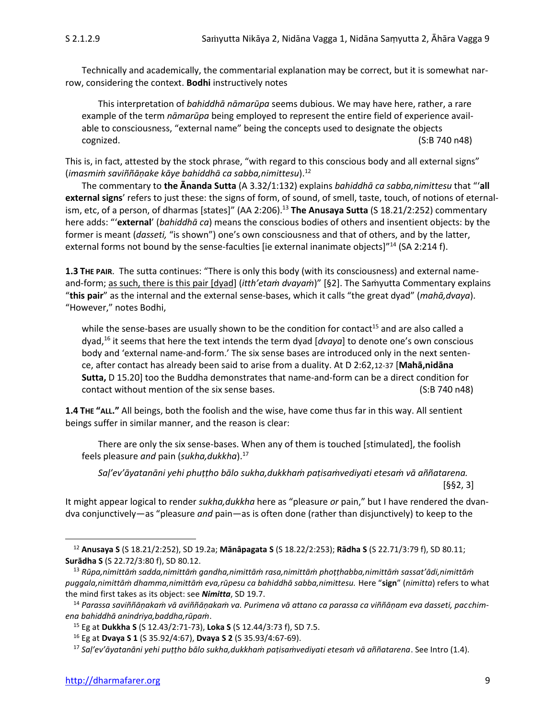Technically and academically, the commentarial explanation may be correct, but it is somewhat narrow, considering the context. **Bodhi** instructively notes

This interpretation of *bahiddhā nāmarūpa* seems dubious. We may have here, rather, a rare example of the term *nāmarūpa* being employed to represent the entire field of experience available to consciousness, "external name" being the concepts used to designate the objects cognized. (S:B 740 n48)

This is, in fact, attested by the stock phrase, "with regard to this conscious body and all external signs" (*imasmiṁ saviññāṇake kāye bahiddhā ca sabba,nimittesu*).<sup>12</sup>

The commentary to **the Ānanda Sutta** (A 3.32/1:132) explains *bahiddhā ca sabba,nimittesu* that "'**all external signs**' refers to just these: the signs of form, of sound, of smell, taste, touch, of notions of eternalism, etc, of a person, of dharmas [states]" (AA 2:206).<sup>13</sup> The Anusaya Sutta (S 18.21/2:252) commentary here adds: "'**external**' (*bahiddhā ca*) means the conscious bodies of others and insentient objects: by the former is meant (*dasseti,* "is shown") one's own consciousness and that of others, and by the latter, external forms not bound by the sense-faculties [ie external inanimate objects]"<sup>14</sup> (SA 2:214 f).

**1.3 THE PAIR**. The sutta continues: "There is only this body (with its consciousness) and external nameand-form; as such, there is this pair [dyad] (*itth'etaṁ dvayaṁ*)" [§2]. The Saṁyutta Commentary explains "**this pair**" as the internal and the external sense-bases, which it calls "the great dyad" (*mahā,dvaya*). "However," notes Bodhi,

while the sense-bases are usually shown to be the condition for contact<sup>15</sup> and are also called a dyad, <sup>16</sup> it seems that here the text intends the term dyad [*dvaya*] to denote one's own conscious body and 'external name-and-form.' The six sense bases are introduced only in the next sentence, after contact has already been said to arise from a duality. At D 2:62,12-37 [**Mahā,nidāna Sutta,** D 15.20] too the Buddha demonstrates that name-and-form can be a direct condition for contact without mention of the six sense bases. (S:B 740 n48)

**1.4 THE "ALL."** All beings, both the foolish and the wise, have come thus far in this way. All sentient beings suffer in similar manner, and the reason is clear:

There are only the six sense-bases. When any of them is touched [stimulated], the foolish feels pleasure *and* pain (*sukha,dukkha*). 17

*Saḷ'ev'āyatanāni yehi phuṭṭho bālo sukha,dukkhaṁ paṭisaṁvediyati etesaṁ vā aññatarena.* [§§2, 3]

It might appear logical to render *sukha,dukkha* here as "pleasure *or* pain," but I have rendered the dvandva conjunctively—as "pleasure *and* pain—as is often done (rather than disjunctively) to keep to the

<sup>12</sup> **Anusaya S** (S 18.21/2:252), SD 19.2a; **Mānâpagata S** (S 18.22/2:253); **Rādha S** (S 22.71/3:79 f), SD 80.11; **Surādha S** (S 22.72/3:80 f), SD 80.12.

<sup>13</sup> *Rūpa,nimittāṁ sadda,nimittāṁ gandha,nimittāṁ rasa,nimittāṁ phoṭṭhabba,nimittāṁ sassat'ādi,nimittāṁ puggala,nimittāṁ dhamma,nimittāṁ eva,rūpesu ca bahiddhā sabba,nimittesu.* Here "**sign**" (*nimitta*) refers to what the mind first takes as its object: see *Nimitta*, SD 19.7.

<sup>14</sup> *Parassa saviññāṇakaṁ vā aviññāṇakaṁ va. Purimena vā attano ca parassa ca viññāṇam eva dasseti, pacchimena bahiddhā anindriya,baddha,rūpaṁ*.

<sup>15</sup> Eg at **Dukkha S** (S 12.43/2:71-73), **Loka S** (S 12.44/3:73 f), SD 7.5.

<sup>16</sup> Eg at **Dvaya S 1** (S 35.92/4:67), **Dvaya S 2** (S 35.93/4:67-69).

<sup>17</sup> *Saḷ'ev'āyatanāni yehi puṭṭho bālo sukha,dukkhaṁ paṭisaṁvediyati etesaṁ vā aññatarena*. See Intro (1.4).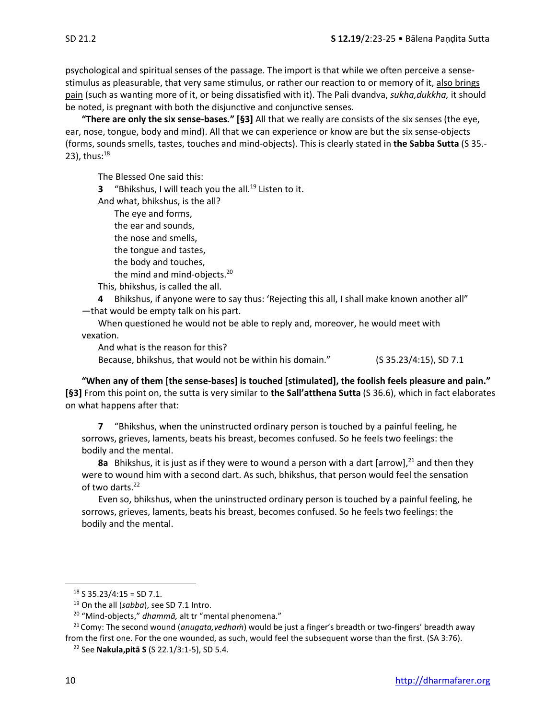psychological and spiritual senses of the passage. The import is that while we often perceive a sensestimulus as pleasurable, that very same stimulus, or rather our reaction to or memory of it, also brings pain (such as wanting more of it, or being dissatisfied with it). The Pali dvandva, *sukha,dukkha,* it should be noted, is pregnant with both the disjunctive and conjunctive senses.

**"There are only the six sense-bases***.***" [§3]** All that we really are consists of the six senses (the eye, ear, nose, tongue, body and mind). All that we can experience or know are but the six sense-objects (forms, sounds smells, tastes, touches and mind-objects). This is clearly stated in **the Sabba Sutta** (S 35.- 23), thus: $^{18}$ 

The Blessed One said this:

**3** "Bhikshus, I will teach you the all.<sup>19</sup> Listen to it.

And what, bhikshus, is the all? The eye and forms, the ear and sounds, the nose and smells, the tongue and tastes, the body and touches, the mind and mind-objects.<sup>20</sup> This, bhikshus, is called the all.

**4** Bhikshus, if anyone were to say thus: 'Rejecting this all, I shall make known another all" —that would be empty talk on his part.

When questioned he would not be able to reply and, moreover, he would meet with vexation.

And what is the reason for this?

Because, bhikshus, that would not be within his domain." (S 35.23/4:15), SD 7.1

**"When any of them [the sense-bases] is touched [stimulated], the foolish feels pleasure and pain." [§3]** From this point on, the sutta is very similar to **the Sall'atthena Sutta** (S 36.6), which in fact elaborates on what happens after that:

**7** "Bhikshus, when the uninstructed ordinary person is touched by a painful feeling, he sorrows, grieves, laments, beats his breast, becomes confused. So he feels two feelings: the bodily and the mental.

8a Bhikshus, it is just as if they were to wound a person with a dart [arrow],<sup>21</sup> and then they were to wound him with a second dart. As such, bhikshus, that person would feel the sensation of two darts.<sup>22</sup>

Even so, bhikshus, when the uninstructed ordinary person is touched by a painful feeling, he sorrows, grieves, laments, beats his breast, becomes confused. So he feels two feelings: the bodily and the mental.

 $18$  S 35.23/4:15 = SD 7.1.

<sup>19</sup> On the all (*sabba*), see SD 7.1 Intro.

<sup>20</sup> "Mind-objects," *dhammā,* alt tr "mental phenomena."

<sup>21</sup> Comy: The second wound (*anugata,vedhaṁ*) would be just a finger's breadth or two-fingers' breadth away from the first one. For the one wounded, as such, would feel the subsequent worse than the first. (SA 3:76).

<sup>22</sup> See **Nakula,pitā S** (S 22.1/3:1-5), SD 5.4.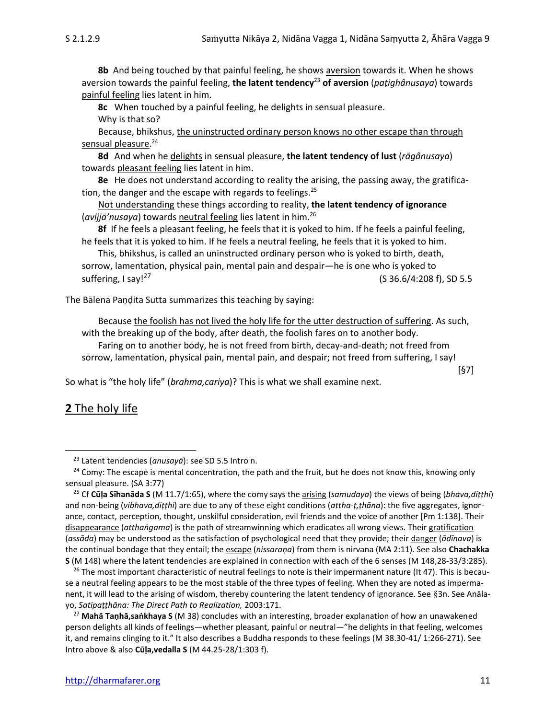**8b** And being touched by that painful feeling, he shows aversion towards it. When he shows aversion towards the painful feeling, **the latent tendency**<sup>23</sup> **of aversion** (*paṭighânusaya*) towards painful feeling lies latent in him.

**8c** When touched by a painful feeling, he delights in sensual pleasure.

Why is that so?

Because, bhikshus, the uninstructed ordinary person knows no other escape than through sensual pleasure. 24

**8d** And when he delights in sensual pleasure, **the latent tendency of lust** (*rāgânusaya*) towards pleasant feeling lies latent in him.

**8e** He does not understand according to reality the arising, the passing away, the gratification, the danger and the escape with regards to feelings. $^{25}$ 

Not understanding these things according to reality, **the latent tendency of ignorance** (*avijjā'nusaya*) towards neutral feeling lies latent in him.<sup>26</sup>

**8f** If he feels a pleasant feeling, he feels that it is yoked to him. If he feels a painful feeling, he feels that it is yoked to him. If he feels a neutral feeling, he feels that it is yoked to him.

This, bhikshus, is called an uninstructed ordinary person who is yoked to birth, death, sorrow, lamentation, physical pain, mental pain and despair—he is one who is yoked to suffering, I say!<sup>27</sup> (S 36.6/4:208 f), SD 5.5

The Bālena Paṇḍita Sutta summarizes this teaching by saying:

Because the foolish has not lived the holy life for the utter destruction of suffering. As such, with the breaking up of the body, after death, the foolish fares on to another body. Faring on to another body, he is not freed from birth, decay-and-death; not freed from sorrow, lamentation, physical pain, mental pain, and despair; not freed from suffering, I say!

So what is "the holy life" (*brahma,cariya*)? This is what we shall examine next.

## **2** The holy life

[§7]

<sup>23</sup> Latent tendencies (*anusayā*): see SD 5.5 Intro n.

 $24$  Comy: The escape is mental concentration, the path and the fruit, but he does not know this, knowing only sensual pleasure. (SA 3:77)

<sup>25</sup> Cf **Cūḷa Sīhanāda S** (M 11.7/1:65), where the comy says the arising (*samudaya*) the views of being (*bhava,diṭṭhi*) and non-being (*vibhava,diṭṭhi*) are due to any of these eight conditions (*attha-ṭ,ṭhāna*): the five aggregates, ignorance, contact, perception, thought, unskilful consideration, evil friends and the voice of another [Pm 1:138]. Their disappearance (*atthaṅgama*) is the path of streamwinning which eradicates all wrong views. Their gratification (*assāda*) may be understood as the satisfaction of psychological need that they provide; their danger (*ādīnava*) is the continual bondage that they entail; the escape (*nissaraṇa*) from them is nirvana (MA 2:11). See also **Chachakka S** (M 148) where the latent tendencies are explained in connection with each of the 6 senses (M 148,28-33/3:285).

<sup>&</sup>lt;sup>26</sup> The most important characteristic of neutral feelings to note is their impermanent nature (It 47). This is because a neutral feeling appears to be the most stable of the three types of feeling. When they are noted as impermanent, it will lead to the arising of wisdom, thereby countering the latent tendency of ignorance. See §3n. See Anālayo, *Satipaṭṭhāna: The Direct Path to Realization,* 2003:171.

<sup>27</sup> **Mahā Taṇhā,saṅkhaya S** (M 38) concludes with an interesting, broader explanation of how an unawakened person delights all kinds of feelings—whether pleasant, painful or neutral—"he delights in that feeling, welcomes it, and remains clinging to it." It also describes a Buddha responds to these feelings (M 38.30-41/ 1:266-271). See Intro above & also **Cūḷa,vedalla S** (M 44.25-28/1:303 f).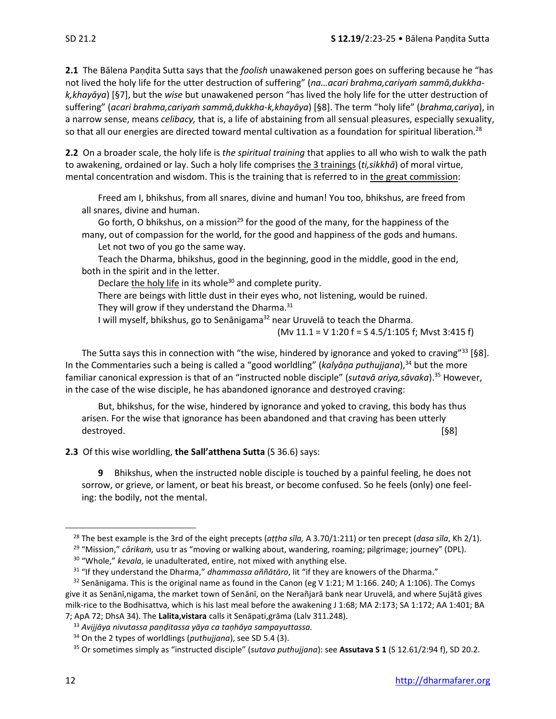**2.1** The Bālena Paṇḍita Sutta says that the *foolish* unawakened person goes on suffering because he "has not lived the holy life for the utter destruction of suffering" (*na…acari brahma,cariyaṁ sammā,dukkhak,khayāya*) [§7], but the *wise* but unawakened person "has lived the holy life for the utter destruction of suffering" (*acari brahma,cariyaṁ sammā,dukkha-k,khayāya*) [§8]. The term "holy life" (*brahma,cariya*), in a narrow sense, means *celibacy,* that is, a life of abstaining from all sensual pleasures, especially sexuality, so that all our energies are directed toward mental cultivation as a foundation for spiritual liberation.<sup>28</sup>

**2.2** On a broader scale, the holy life is *the spiritual training* that applies to all who wish to walk the path to awakening, ordained or lay. Such a holy life comprises the 3 trainings (*ti,sikkhā*) of moral virtue, mental concentration and wisdom. This is the training that is referred to in the great commission:

Freed am I, bhikshus, from all snares, divine and human! You too, bhikshus, are freed from all snares, divine and human.

Go forth, O bhikshus, on a mission<sup>29</sup> for the good of the many, for the happiness of the many, out of compassion for the world, for the good and happiness of the gods and humans. Let not two of you go the same way.

Teach the Dharma, bhikshus, good in the beginning, good in the middle, good in the end, both in the spirit and in the letter.

Declare the holy life in its whole<sup>30</sup> and complete purity.

There are beings with little dust in their eyes who, not listening, would be ruined.

They will grow if they understand the Dharma. $31$ 

I will myself, bhikshus, go to Senānigama<sup>32</sup> near Uruvelā to teach the Dharma.

(Mv 11.1 = V 1:20 f = S 4.5/1:105 f; Mvst 3:415 f)

The Sutta says this in connection with "the wise, hindered by ignorance and yoked to craving"<sup>33</sup> [§8]. In the Commentaries such a being is called a "good worldling" (*kalyāṇa puthujjana*), <sup>34</sup> but the more familiar canonical expression is that of an "instructed noble disciple" (*sutavā ariya,sāvaka*).<sup>35</sup> However, in the case of the wise disciple, he has abandoned ignorance and destroyed craving:

But, bhikshus, for the wise, hindered by ignorance and yoked to craving, this body has thus arisen. For the wise that ignorance has been abandoned and that craving has been utterly destroyed. [§8]

**2.3** Of this wise worldling, **the Sall'atthena Sutta** (S 36.6) says:

**9** Bhikshus, when the instructed noble disciple is touched by a painful feeling, he does not sorrow, or grieve, or lament, or beat his breast, or become confused. So he feels (only) one feeling: the bodily, not the mental.

<sup>28</sup> The best example is the 3rd of the eight precepts (*aṭṭha sīla,* A 3.70/1:211) or ten precept (*dasa sīla*, Kh 2/1).

<sup>29</sup> "Mission," *cārikaṁ,* usu tr as "moving or walking about, wandering, roaming; pilgrimage; journey" (DPL).

<sup>30</sup> "Whole," *kevala*, ie unadulterated, entire, not mixed with anything else.

<sup>31</sup> "If they understand the Dharma," *dhammassa aññātāro*, lit "if they are knowers of the Dharma."

 $32$  Senānigama. This is the original name as found in the Canon (eg V 1:21; M 1:166. 240; A 1:106). The Comys give it as Senānī,nigama, the market town of Senānī, on the Nerañjarā bank near Uruvelā, and where Sujātā gives milk-rice to the Bodhisattva, which is his last meal before the awakening J 1:68; MA 2:173; SA 1:172; AA 1:401; BA 7; ApA 72; DhsA 34). The **Lalita,vistara** calls it Senāpati,grāma (Lalv 311.248).

<sup>33</sup> *Avijjāya nivutassa paṇḍitassa yāya ca taṇhāya sampayuttassa.*

<sup>34</sup> On the 2 types of worldlings (*puthujjana*), see SD 5.4 (3).

<sup>35</sup> Or sometimes simply as "instructed disciple" (*sutava puthujjana*): see **Assutava S 1** (S 12.61/2:94 f), SD 20.2.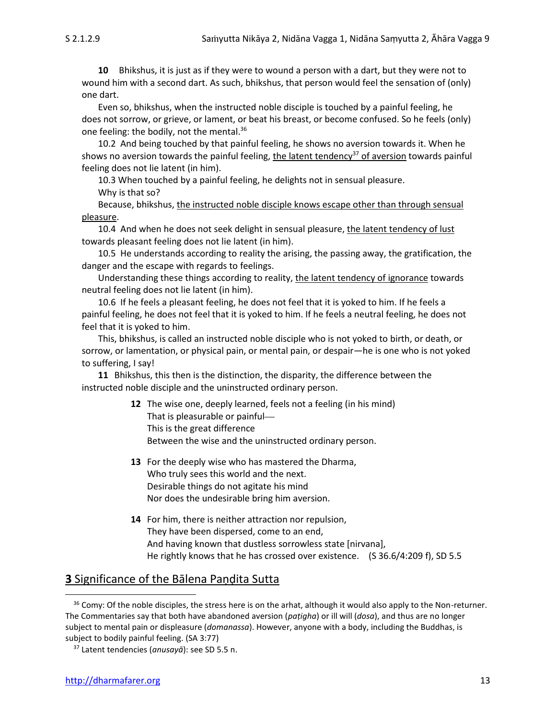**10** Bhikshus, it is just as if they were to wound a person with a dart, but they were not to wound him with a second dart. As such, bhikshus, that person would feel the sensation of (only) one dart.

Even so, bhikshus, when the instructed noble disciple is touched by a painful feeling, he does not sorrow, or grieve, or lament, or beat his breast, or become confused. So he feels (only) one feeling: the bodily, not the mental.<sup>36</sup>

10.2 And being touched by that painful feeling, he shows no aversion towards it. When he shows no aversion towards the painful feeling, the latent tendency<sup>37</sup> of aversion towards painful feeling does not lie latent (in him).

10.3 When touched by a painful feeling, he delights not in sensual pleasure.

Why is that so?

Because, bhikshus, the instructed noble disciple knows escape other than through sensual pleasure.

10.4 And when he does not seek delight in sensual pleasure, the latent tendency of lust towards pleasant feeling does not lie latent (in him).

10.5 He understands according to reality the arising, the passing away, the gratification, the danger and the escape with regards to feelings.

Understanding these things according to reality, the latent tendency of ignorance towards neutral feeling does not lie latent (in him).

10.6 If he feels a pleasant feeling, he does not feel that it is yoked to him. If he feels a painful feeling, he does not feel that it is yoked to him. If he feels a neutral feeling, he does not feel that it is yoked to him.

This, bhikshus, is called an instructed noble disciple who is not yoked to birth, or death, or sorrow, or lamentation, or physical pain, or mental pain, or despair—he is one who is not yoked to suffering, I say!

**11** Bhikshus, this then is the distinction, the disparity, the difference between the instructed noble disciple and the uninstructed ordinary person.

- **12** The wise one, deeply learned, feels not a feeling (in his mind) That is pleasurable or painful This is the great difference Between the wise and the uninstructed ordinary person.
- **13** For the deeply wise who has mastered the Dharma, Who truly sees this world and the next. Desirable things do not agitate his mind Nor does the undesirable bring him aversion.
- **14** For him, there is neither attraction nor repulsion, They have been dispersed, come to an end, And having known that dustless sorrowless state [nirvana], He rightly knows that he has crossed over existence. (S 36.6/4:209 f), SD 5.5

## **3** Significance of the Bālena Paṇḍita Sutta

 $36$  Comy: Of the noble disciples, the stress here is on the arhat, although it would also apply to the Non-returner. The Commentaries say that both have abandoned aversion (*paṭigha*) or ill will (*dosa*), and thus are no longer subject to mental pain or displeasure (*domanassa*). However, anyone with a body, including the Buddhas, is subject to bodily painful feeling. (SA 3:77)

<sup>37</sup> Latent tendencies (*anusayā*): see SD 5.5 n.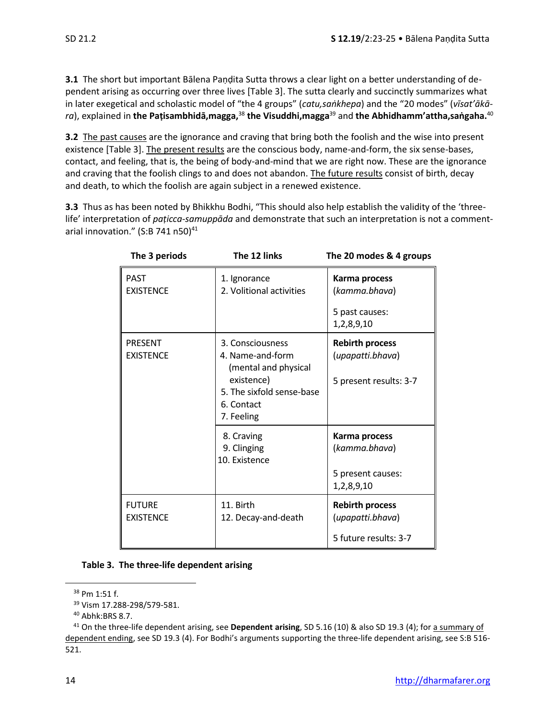**3.1** The short but important Bālena Paṇḍita Sutta throws a clear light on a better understanding of dependent arising as occurring over three lives [Table 3]. The sutta clearly and succinctly summarizes what in later exegetical and scholastic model of "the 4 groups" (*catu,saṅkhepa*) and the "20 modes" (*vīsat'ākāra*), explained in **the Paṭisambhidā,magga,**<sup>38</sup> **the Visuddhi,magga**<sup>39</sup> and **the Abhidhamm'attha,saṅgaha.**<sup>40</sup>

**3.2** The past causes are the ignorance and craving that bring both the foolish and the wise into present existence [Table 3]. The present results are the conscious body, name-and-form, the six sense-bases, contact, and feeling, that is, the being of body-and-mind that we are right now. These are the ignorance and craving that the foolish clings to and does not abandon. The future results consist of birth, decay and death, to which the foolish are again subject in a renewed existence.

**3.3** Thus as has been noted by Bhikkhu Bodhi, "This should also help establish the validity of the 'threelife' interpretation of *paṭicca-samuppāda* and demonstrate that such an interpretation is not a commentarial innovation."  $(S:B 741 n50)^{41}$ 

| The 3 periods                      | The 12 links                                                                                                                        | The 20 modes & 4 groups                                              |
|------------------------------------|-------------------------------------------------------------------------------------------------------------------------------------|----------------------------------------------------------------------|
| <b>PAST</b><br><b>EXISTENCE</b>    | 1. Ignorance<br>2. Volitional activities                                                                                            | Karma process<br>(kamma.bhava)<br>5 past causes:<br>1,2,8,9,10       |
| <b>PRESENT</b><br><b>EXISTENCE</b> | 3. Consciousness<br>4. Name-and-form<br>(mental and physical<br>existence)<br>5. The sixfold sense-base<br>6. Contact<br>7. Feeling | <b>Rebirth process</b><br>(upapatti.bhava)<br>5 present results: 3-7 |
|                                    | 8. Craving<br>9. Clinging<br>10. Existence                                                                                          | Karma process<br>(kamma.bhava)<br>5 present causes:<br>1,2,8,9,10    |
| <b>FUTURE</b><br><b>EXISTENCE</b>  | 11. Birth<br>12. Decay-and-death                                                                                                    | <b>Rebirth process</b><br>(upapatti.bhava)<br>5 future results: 3-7  |

<sup>38</sup> Pm 1:51 f.

<sup>39</sup> Vism 17.288-298/579-581.

<sup>40</sup> Abhk:BRS 8.7.

<sup>41</sup> On the three-life dependent arising, see **Dependent arising**, SD 5.16 (10) & also SD 19.3 (4); for a summary of dependent ending, see SD 19.3 (4). For Bodhi's arguments supporting the three-life dependent arising, see S:B 516- 521.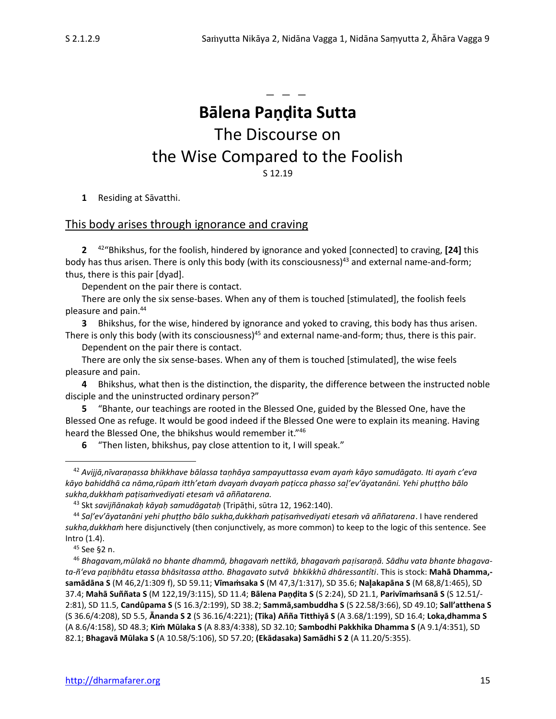**Bālena Paṇḍita Sutta** The Discourse on the Wise Compared to the Foolish S 12.19

 $-$ 

**1** Residing at Sāvatthi.

#### This body arises through ignorance and craving

**2** <sup>42</sup>"Bhikshus, for the foolish, hindered by ignorance and yoked [connected] to craving, **[24]** this body has thus arisen. There is only this body (with its consciousness)<sup>43</sup> and external name-and-form; thus, there is this pair [dyad].

Dependent on the pair there is contact.

There are only the six sense-bases. When any of them is touched [stimulated], the foolish feels pleasure and pain. 44

**3** Bhikshus, for the wise, hindered by ignorance and yoked to craving, this body has thus arisen. There is only this body (with its consciousness)<sup>45</sup> and external name-and-form; thus, there is this pair.

Dependent on the pair there is contact.

There are only the six sense-bases. When any of them is touched [stimulated], the wise feels pleasure and pain.

**4** Bhikshus, what then is the distinction, the disparity, the difference between the instructed noble disciple and the uninstructed ordinary person?"

**5** "Bhante, our teachings are rooted in the Blessed One, guided by the Blessed One, have the Blessed One as refuge. It would be good indeed if the Blessed One were to explain its meaning. Having heard the Blessed One, the bhikshus would remember it."<sup>46</sup>

**6** "Then listen, bhikshus, pay close attention to it, I will speak."

<sup>45</sup> See §2 n.

<sup>46</sup> *Bhagavam,mūlakā no bhante dhammā, bhagavaṁ nettikā, bhagavaṁ paisaraṇā. Sādhu vata bhante bhagavata-ñ'eva paibhātu etassa bhāsitassa attho. Bhagavato sutvā bhkikkhū dhāressantîti*. This is stock: **Mahā Dhamma, samādāna S** (M 46,2/1:309 f), SD 59.11; **Vīmaṁsaka S** (M 47,3/1:317), SD 35.6; **Naakapāna S** (M 68,8/1:465), SD 37.4; **Mahā Suññata S** (M 122,19/3:115), SD 11.4; **Bālena Paṇḍita S** (S 2:24), SD 21.1, **Parivīmaṁsanā S** (S 12.51/- 2:81), SD 11.5, **Candûpama S** (S 16.3/2:199), SD 38.2; **Sammā,sambuddha S** (S 22.58/3:66), SD 49.10; **Sall'atthena S** (S 36.6/4:208), SD 5.5, **Ānanda S 2** (S 36.16/4:221); **(Tika) Añña Titthiyā S** (A 3.68/1:199), SD 16.4; **Loka,dhamma S**  (A 8.6/4:158), SD 48.3; **Kiṁ Mūlaka S** (A 8.83/4:338), SD 32.10; **Sambodhi Pakkhika Dhamma S** (A 9.1/4:351), SD 82.1; **Bhagavā Mūlaka S** (A 10.58/5:106), SD 57.20; **(Ekādasaka) Samādhi S 2** (A 11.20/5:355).

<sup>42</sup> *Avijjā,nīvaraṇassa bhikkhave bālassa taṇhāya sampayuttassa evam ayaṁ kāyo samudāgato. Iti ayaṁ c'eva kāyo bahiddhā ca nāma,rūpaṁ itth'etaṁ dvayaṁ dvayaṁ paṭicca phasso sa'ev'āyatanāni. Yehi phuṭṭho bālo sukha,dukkhaṁ paṭisaṁvediyati etesaṁ vā aññatarena.*

<sup>43</sup> Skt *savijñānakaḥ kāyaḥ samudāgataḥ* (Tripāṭhi, sūtra 12, 1962:140).

<sup>44</sup> *Saḷ'ev'āyatanāni yehi phuṭṭho bālo sukha,dukkhaṁ paṭisaṁvediyati etesaṁ vā aññatarena*. I have rendered *sukha,dukkhaṁ* here disjunctively (then conjunctively, as more common) to keep to the logic of this sentence. See Intro (1.4).